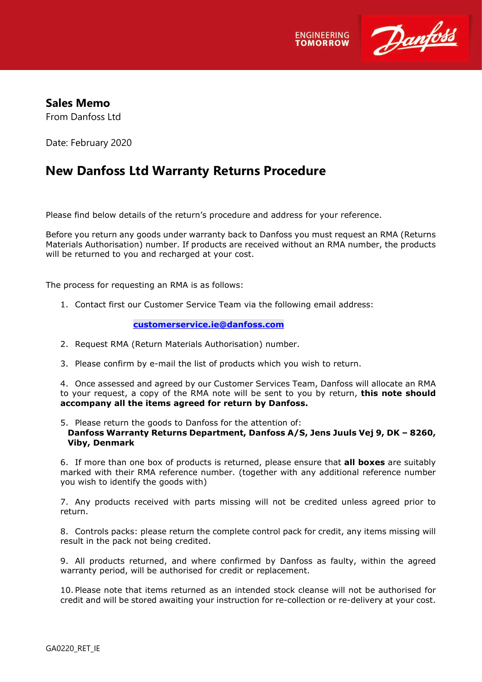



**Sales Memo**

From Danfoss Ltd

Date: February 2020

## **New Danfoss Ltd Warranty Returns Procedure**

Please find below details of the return's procedure and address for your reference.

Before you return any goods under warranty back to Danfoss you must request an RMA (Returns Materials Authorisation) number. If products are received without an RMA number, the products will be returned to you and recharged at your cost.

The process for requesting an RMA is as follows:

1. Contact first our Customer Service Team via the following email address:

**customerservice.ie@danfoss.com**

- 2. Request RMA (Return Materials Authorisation) number.
- 3. Please confirm by e-mail the list of products which you wish to return.

4. Once assessed and agreed by our Customer Services Team, Danfoss will allocate an RMA to your request, a copy of the RMA note will be sent to you by return, **this note should accompany all the items agreed for return by Danfoss.**

5. Please return the goods to Danfoss for the attention of: **Danfoss Warranty Returns Department, Danfoss A/S, Jens Juuls Vej 9, DK – 8260, Viby, Denmark**

6. If more than one box of products is returned, please ensure that **all boxes** are suitably marked with their RMA reference number. (together with any additional reference number you wish to identify the goods with)

7. Any products received with parts missing will not be credited unless agreed prior to return.

8. Controls packs: please return the complete control pack for credit, any items missing will result in the pack not being credited.

9. All products returned, and where confirmed by Danfoss as faulty, within the agreed warranty period, will be authorised for credit or replacement.

10. Please note that items returned as an intended stock cleanse will not be authorised for credit and will be stored awaiting your instruction for re-collection or re-delivery at your cost.